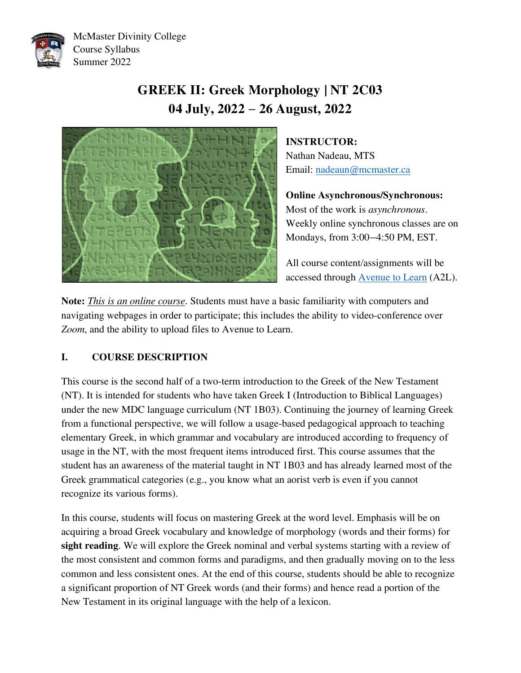

McMaster Divinity College Course Syllabus Summer 2022

# **GREEK II: Greek Morphology | NT 2C03 04 July, 2022 – 26 August, 2022**



**INSTRUCTOR:** 

Nathan Nadeau, MTS Email: [nadeaun@mcmaster.ca](mailto:nadeaun@mcmaster.ca)

**Online Asynchronous/Synchronous:**  Most of the work is *asynchronous*. Weekly online synchronous classes are on Mondays, from 3:00—4:50 PM, EST.

All course content/assignments will be accessed through [Avenue to Learn](https://avenue.mcmaster.ca/) (A2L).

**Note:** *This is an online course*. Students must have a basic familiarity with computers and navigating webpages in order to participate; this includes the ability to video-conference over *Zoom*, and the ability to upload files to Avenue to Learn.

# **I. COURSE DESCRIPTION**

This course is the second half of a two-term introduction to the Greek of the New Testament (NT). It is intended for students who have taken Greek I (Introduction to Biblical Languages) under the new MDC language curriculum (NT 1B03). Continuing the journey of learning Greek from a functional perspective, we will follow a usage-based pedagogical approach to teaching elementary Greek, in which grammar and vocabulary are introduced according to frequency of usage in the NT, with the most frequent items introduced first. This course assumes that the student has an awareness of the material taught in NT 1B03 and has already learned most of the Greek grammatical categories (e.g., you know what an aorist verb is even if you cannot recognize its various forms).

In this course, students will focus on mastering Greek at the word level. Emphasis will be on acquiring a broad Greek vocabulary and knowledge of morphology (words and their forms) for **sight reading**. We will explore the Greek nominal and verbal systems starting with a review of the most consistent and common forms and paradigms, and then gradually moving on to the less common and less consistent ones. At the end of this course, students should be able to recognize a significant proportion of NT Greek words (and their forms) and hence read a portion of the New Testament in its original language with the help of a lexicon.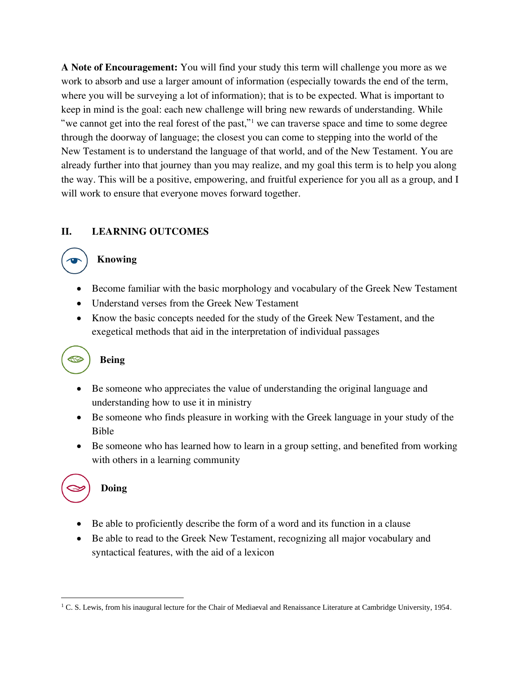**A Note of Encouragement:** You will find your study this term will challenge you more as we work to absorb and use a larger amount of information (especially towards the end of the term, where you will be surveying a lot of information); that is to be expected. What is important to keep in mind is the goal: each new challenge will bring new rewards of understanding. While "we cannot get into the real forest of the past,"<sup>1</sup> we can traverse space and time to some degree through the doorway of language; the closest you can come to stepping into the world of the New Testament is to understand the language of that world, and of the New Testament. You are already further into that journey than you may realize, and my goal this term is to help you along the way. This will be a positive, empowering, and fruitful experience for you all as a group, and I will work to ensure that everyone moves forward together.

# **II. LEARNING OUTCOMES**

# **Knowing**

- Become familiar with the basic morphology and vocabulary of the Greek New Testament
- Understand verses from the Greek New Testament
- Know the basic concepts needed for the study of the Greek New Testament, and the exegetical methods that aid in the interpretation of individual passages

# **Being**

**RO** 

- Be someone who appreciates the value of understanding the original language and understanding how to use it in ministry
- Be someone who finds pleasure in working with the Greek language in your study of the Bible
- Be someone who has learned how to learn in a group setting, and benefited from working with others in a learning community



# **Doing**

- Be able to proficiently describe the form of a word and its function in a clause
- Be able to read to the Greek New Testament, recognizing all major vocabulary and syntactical features, with the aid of a lexicon

<sup>&</sup>lt;sup>1</sup> C. S. Lewis, from his inaugural lecture for the Chair of Mediaeval and Renaissance Literature at Cambridge University, 1954.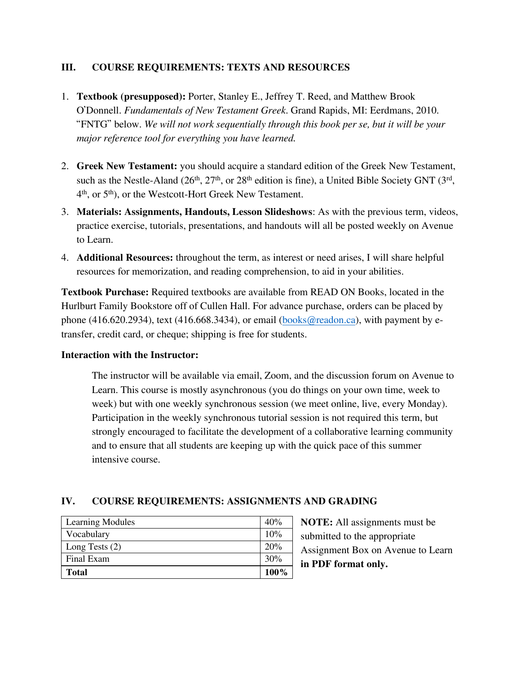# **III. COURSE REQUIREMENTS: TEXTS AND RESOURCES**

- 1. **Textbook (presupposed):** Porter, Stanley E., Jeffrey T. Reed, and Matthew Brook O'Donnell. *Fundamentals of New Testament Greek*. Grand Rapids, MI: Eerdmans, 2010. "FNTG" below. *We will not work sequentially through this book per se, but it will be your major reference tool for everything you have learned.*
- 2. **Greek New Testament:** you should acquire a standard edition of the Greek New Testament, such as the Nestle-Aland  $(26<sup>th</sup>, 27<sup>th</sup>, or 28<sup>th</sup> edition is fine)$ , a United Bible Society GNT  $(3<sup>rd</sup>,$ 4 th, or 5th), or the Westcott-Hort Greek New Testament.
- 3. **Materials: Assignments, Handouts, Lesson Slideshows**: As with the previous term, videos, practice exercise, tutorials, presentations, and handouts will all be posted weekly on Avenue to Learn.
- 4. **Additional Resources:** throughout the term, as interest or need arises, I will share helpful resources for memorization, and reading comprehension, to aid in your abilities.

**Textbook Purchase:** Required textbooks are available from READ ON Books, located in the Hurlburt Family Bookstore off of Cullen Hall. For advance purchase, orders can be placed by phone (416.620.2934), text (416.668.3434), or email [\(books@readon.ca\)](mailto:books@readon.ca), with payment by etransfer, credit card, or cheque; shipping is free for students.

# **Interaction with the Instructor:**

The instructor will be available via email, Zoom, and the discussion forum on Avenue to Learn. This course is mostly asynchronous (you do things on your own time, week to week) but with one weekly synchronous session (we meet online, live, every Monday). Participation in the weekly synchronous tutorial session is not required this term, but strongly encouraged to facilitate the development of a collaborative learning community and to ensure that all students are keeping up with the quick pace of this summer intensive course.

# **IV. COURSE REQUIREMENTS: ASSIGNMENTS AND GRADING**

| <b>Learning Modules</b> | 40%  |
|-------------------------|------|
| Vocabulary              | 10%  |
| Long Tests $(2)$        | 20%  |
| Final Exam              | 30%  |
| <b>Total</b>            | 100% |

**NOTE:** All assignments must be submitted to the appropriate Assignment Box on Avenue to Learn **in PDF format only.**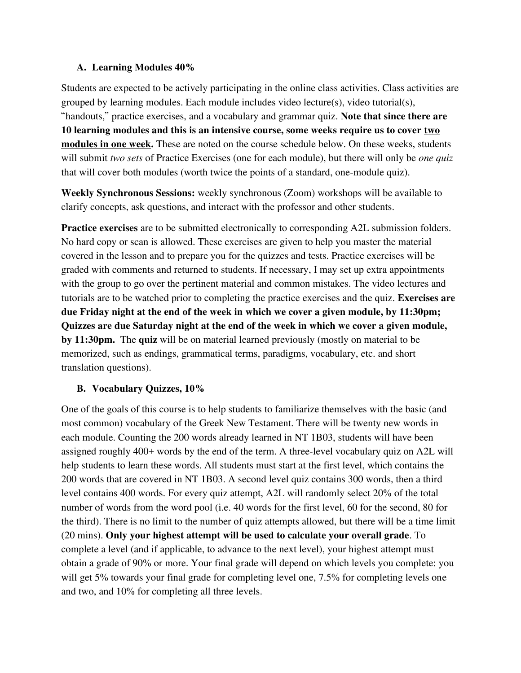#### **A. Learning Modules 40%**

Students are expected to be actively participating in the online class activities. Class activities are grouped by learning modules. Each module includes video lecture(s), video tutorial(s), "handouts," practice exercises, and a vocabulary and grammar quiz. **Note that since there are 10 learning modules and this is an intensive course, some weeks require us to cover two modules in one week.** These are noted on the course schedule below. On these weeks, students will submit *two sets* of Practice Exercises (one for each module), but there will only be *one quiz* that will cover both modules (worth twice the points of a standard, one-module quiz).

**Weekly Synchronous Sessions:** weekly synchronous (Zoom) workshops will be available to clarify concepts, ask questions, and interact with the professor and other students.

**Practice exercises** are to be submitted electronically to corresponding A2L submission folders. No hard copy or scan is allowed. These exercises are given to help you master the material covered in the lesson and to prepare you for the quizzes and tests. Practice exercises will be graded with comments and returned to students. If necessary, I may set up extra appointments with the group to go over the pertinent material and common mistakes. The video lectures and tutorials are to be watched prior to completing the practice exercises and the quiz. **Exercises are due Friday night at the end of the week in which we cover a given module, by 11:30pm; Quizzes are due Saturday night at the end of the week in which we cover a given module, by 11:30pm.** The **quiz** will be on material learned previously (mostly on material to be memorized, such as endings, grammatical terms, paradigms, vocabulary, etc. and short translation questions).

# **B. Vocabulary Quizzes, 10%**

One of the goals of this course is to help students to familiarize themselves with the basic (and most common) vocabulary of the Greek New Testament. There will be twenty new words in each module. Counting the 200 words already learned in NT 1B03, students will have been assigned roughly 400+ words by the end of the term. A three-level vocabulary quiz on A2L will help students to learn these words. All students must start at the first level, which contains the 200 words that are covered in NT 1B03. A second level quiz contains 300 words, then a third level contains 400 words. For every quiz attempt, A2L will randomly select 20% of the total number of words from the word pool (i.e. 40 words for the first level, 60 for the second, 80 for the third). There is no limit to the number of quiz attempts allowed, but there will be a time limit (20 mins). **Only your highest attempt will be used to calculate your overall grade**. To complete a level (and if applicable, to advance to the next level), your highest attempt must obtain a grade of 90% or more. Your final grade will depend on which levels you complete: you will get 5% towards your final grade for completing level one, 7.5% for completing levels one and two, and 10% for completing all three levels.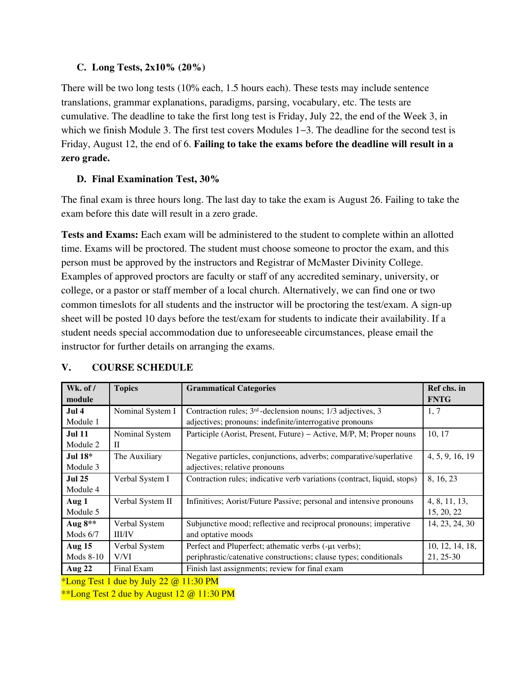# **C. Long Tests, 2x10% (20%)**

There will be two long tests (10% each, 1.5 hours each). These tests may include sentence translations, grammar explanations, paradigms, parsing, vocabulary, etc. The tests are cumulative. The deadline to take the first long test is Friday, July 22, the end of the Week 3, in which we finish Module 3. The first test covers Modules 1–3. The deadline for the second test is Friday, August 12, the end of 6. **Failing to take the exams before the deadline will result in a zero grade.**

# **D. Final Examination Test, 30%**

The final exam is three hours long. The last day to take the exam is August 26. Failing to take the exam before this date will result in a zero grade.

**Tests and Exams:** Each exam will be administered to the student to complete within an allotted time. Exams will be proctored. The student must choose someone to proctor the exam, and this person must be approved by the instructors and Registrar of McMaster Divinity College. Examples of approved proctors are faculty or staff of any accredited seminary, university, or college, or a pastor or staff member of a local church. Alternatively, we can find one or two common timeslots for all students and the instructor will be proctoring the test/exam. A sign-up sheet will be posted 10 days before the test/exam for students to indicate their availability. If a student needs special accommodation due to unforeseeable circumstances, please email the instructor for further details on arranging the exams.

| Wk. of /<br>module        | <b>Topics</b>                                                   | <b>Grammatical Categories</b>                                                                                              | Ref chs. in<br><b>FNTG</b>   |
|---------------------------|-----------------------------------------------------------------|----------------------------------------------------------------------------------------------------------------------------|------------------------------|
| Jul 4<br>Module 1         | Nominal System I                                                | Contraction rules; $3rd$ -declension nouns; $1/3$ adjectives, 3<br>adjectives; pronouns: indefinite/interrogative pronouns | 1, 7                         |
| <b>Jul 11</b><br>Module 2 | Nominal System<br>$\mathbf{I}$                                  | Participle (Aorist, Present, Future) – Active, M/P, M; Proper nouns                                                        | 10, 17                       |
| Jul $18*$<br>Module 3     | The Auxiliary                                                   | Negative particles, conjunctions, adverbs; comparative/superlative<br>adjectives; relative pronouns                        | 4, 5, 9, 16, 19              |
| <b>Jul 25</b><br>Module 4 | Verbal System I                                                 | Contraction rules; indicative verb variations (contract, liquid, stops)                                                    | 8, 16, 23                    |
| Aug 1<br>Module 5         | Verbal System II                                                | Infinitives; Aorist/Future Passive; personal and intensive pronouns                                                        | 4, 8, 11, 13,<br>15, 20, 22  |
| Aug $8**$<br>Mods 6/7     | Verbal System<br><b>III/IV</b>                                  | Subjunctive mood; reflective and reciprocal pronouns; imperative<br>and optative moods                                     | 14, 23, 24, 30               |
| Aug 15<br>Mods $8-10$     | Verbal System<br>V/VI                                           | Perfect and Pluperfect; athematic verbs (-µ verbs);<br>periphrastic/catenative constructions; clause types; conditionals   | 10, 12, 14, 18,<br>21, 25-30 |
| <b>Aug 22</b>             | Final Exam<br>$*I_{\text{on}}$ Test 1 due by July 22 @ 11.20 DM | Finish last assignments; review for final exam                                                                             |                              |

# **V. COURSE SCHEDULE**

Long Test 1 due by July  $22$  @ 11:30 PM

\*\*Long Test 2 due by August  $12 \omega$  11:30 PM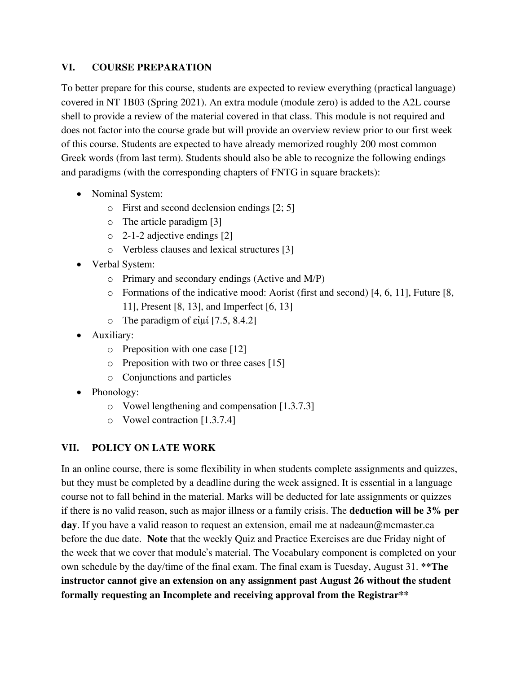#### **VI. COURSE PREPARATION**

To better prepare for this course, students are expected to review everything (practical language) covered in NT 1B03 (Spring 2021). An extra module (module zero) is added to the A2L course shell to provide a review of the material covered in that class. This module is not required and does not factor into the course grade but will provide an overview review prior to our first week of this course. Students are expected to have already memorized roughly 200 most common Greek words (from last term). Students should also be able to recognize the following endings and paradigms (with the corresponding chapters of FNTG in square brackets):

- Nominal System:
	- o First and second declension endings [2; 5]
	- o The article paradigm [3]
	- o 2-1-2 adjective endings [2]
	- o Verbless clauses and lexical structures [3]
- Verbal System:
	- o Primary and secondary endings (Active and M/P)
	- o Formations of the indicative mood: Aorist (first and second) [4, 6, 11], Future [8, 11], Present [8, 13], and Imperfect [6, 13]
	- o The paradigm of εἰμί [7.5, 8.4.2]
- Auxiliary:
	- o Preposition with one case [12]
	- o Preposition with two or three cases [15]
	- o Conjunctions and particles
- Phonology:
	- o Vowel lengthening and compensation [1.3.7.3]
	- o Vowel contraction [1.3.7.4]

# **VII. POLICY ON LATE WORK**

In an online course, there is some flexibility in when students complete assignments and quizzes, but they must be completed by a deadline during the week assigned. It is essential in a language course not to fall behind in the material. Marks will be deducted for late assignments or quizzes if there is no valid reason, such as major illness or a family crisis. The **deduction will be 3% per day**. If you have a valid reason to request an extension, email me at nadeaun@mcmaster.ca before the due date. **Note** that the weekly Quiz and Practice Exercises are due Friday night of the week that we cover that module's material. The Vocabulary component is completed on your own schedule by the day/time of the final exam. The final exam is Tuesday, August 31. **\*\*The instructor cannot give an extension on any assignment past August 26 without the student formally requesting an Incomplete and receiving approval from the Registrar\*\***